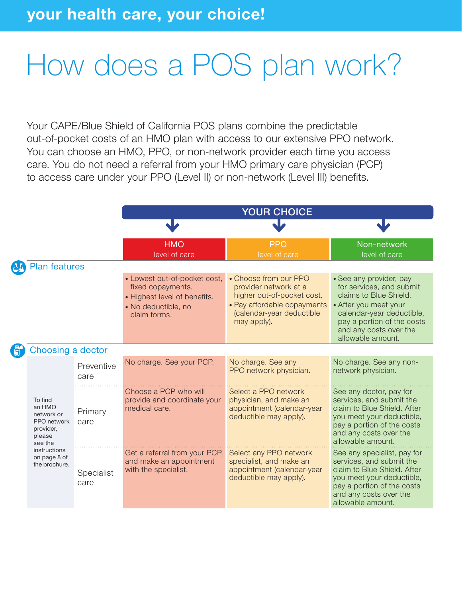## How does a POS plan work?

Your CAPE/Blue Shield of California POS plans combine the predictable out-of-pocket costs of an HMO plan with access to our extensive PPO network. You can choose an HMO, PPO, or non-network provider each time you access care. You do not need a referral from your HMO primary care physician (PCP) to access care under your PPO (Level II) or non-network (Level III) benefits.

|                                                                                  |                    | <b>YOUR CHOICE</b>                                                                                                       |                                                                                                                                                         |                                                                                                                                                                                                                  |
|----------------------------------------------------------------------------------|--------------------|--------------------------------------------------------------------------------------------------------------------------|---------------------------------------------------------------------------------------------------------------------------------------------------------|------------------------------------------------------------------------------------------------------------------------------------------------------------------------------------------------------------------|
|                                                                                  |                    |                                                                                                                          |                                                                                                                                                         |                                                                                                                                                                                                                  |
|                                                                                  |                    | <b>HMO</b><br>level of care                                                                                              | <b>PPO</b><br>level of care                                                                                                                             | Non-network<br>level of care                                                                                                                                                                                     |
| <b>Plan features</b>                                                             |                    |                                                                                                                          |                                                                                                                                                         |                                                                                                                                                                                                                  |
|                                                                                  |                    | • Lowest out-of-pocket cost,<br>fixed copayments.<br>• Highest level of benefits.<br>• No deductible, no<br>claim forms. | • Choose from our PPO<br>provider network at a<br>higher out-of-pocket cost.<br>• Pay affordable copayments<br>(calendar-year deductible<br>may apply). | • See any provider, pay<br>for services, and submit<br>claims to Blue Shield.<br>• After you meet your<br>calendar-year deductible,<br>pay a portion of the costs<br>and any costs over the<br>allowable amount. |
| <b>Choosing a doctor</b>                                                         |                    |                                                                                                                          |                                                                                                                                                         |                                                                                                                                                                                                                  |
|                                                                                  | Preventive<br>care | No charge. See your PCP.                                                                                                 | No charge. See any<br>PPO network physician.                                                                                                            | No charge. See any non-<br>network physician.                                                                                                                                                                    |
| To find<br>an HMO<br>network or<br>PPO network<br>provider,<br>please<br>see the | Primary<br>care    | Choose a PCP who will<br>provide and coordinate your<br>medical care.                                                    | Select a PPO network<br>physician, and make an<br>appointment (calendar-year<br>deductible may apply).                                                  | See any doctor, pay for<br>services, and submit the<br>claim to Blue Shield, After<br>you meet your deductible,<br>pay a portion of the costs<br>and any costs over the<br>allowable amount.                     |
| instructions<br>on page 8 of<br>the brochure.                                    | Specialist<br>care | Get a referral from your PCP,<br>and make an appointment<br>with the specialist.                                         | Select any PPO network<br>specialist, and make an<br>appointment (calendar-year<br>deductible may apply).                                               | See any specialist, pay for<br>services, and submit the<br>claim to Blue Shield. After<br>you meet your deductible,<br>pay a portion of the costs<br>and any costs over the<br>allowable amount.                 |